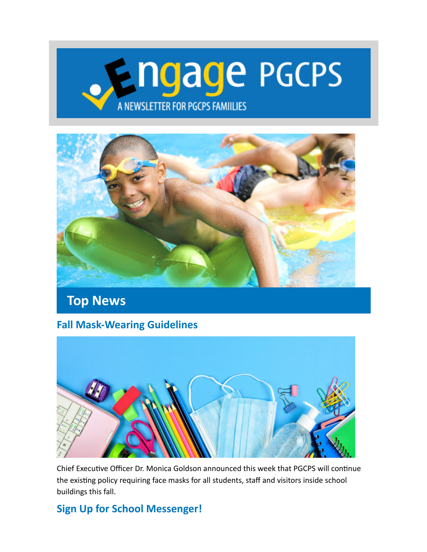# **Engage PGCPS** A NEWSLETTER FOR PGCPS FAMILIES



### **Top News**

#### **Fall Mask-Wearing Guidelines**



Chief Executive Officer Dr. Monica Goldson announced this week that PGCPS will continue the existing policy requiring face masks for all students, staff and visitors inside school buildings this fall.

#### **Sign Up for School Messenger!**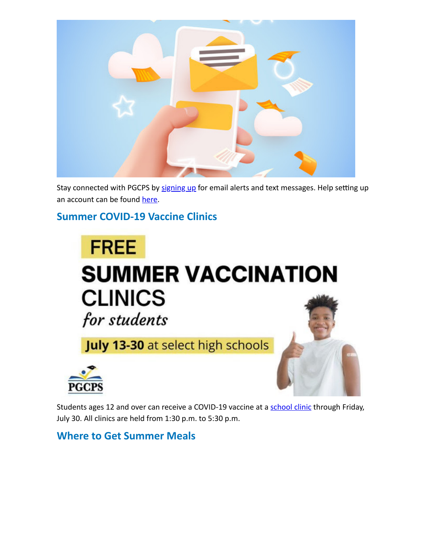

Stay connected with PGCPS by [signing up](https://lnks.gd/l/eyJhbGciOiJIUzI1NiJ9.eyJidWxsZXRpbl9saW5rX2lkIjoxMDEsInVyaSI6ImJwMjpjbGljayIsImJ1bGxldGluX2lkIjoiMjAyMTA3MjguNDM4MjA1MzEiLCJ1cmwiOiJodHRwczovL2FzcC5zY2hvb2xtZXNzZW5nZXIuY29tL3BnY3BzL3N1YnNjcmliZXIvIn0.tZk-7kTck7-awJM_Zzo8zvpXuz9pO0f8etLXDs2cv8E/s/68721661/br/110047485511-l) for email alerts and text messages. Help setting up an account can be found [here.](https://lnks.gd/l/eyJhbGciOiJIUzI1NiJ9.eyJidWxsZXRpbl9saW5rX2lkIjoxMDIsInVyaSI6ImJwMjpjbGljayIsImJ1bGxldGluX2lkIjoiMjAyMTA3MjguNDM4MjA1MzEiLCJ1cmwiOiJodHRwczovL3d3dy5wZ2Nwcy5vcmcvb2ZmaWNlcy9uZXdzcm9vbS9zY2hvb2xtZXNzZW5nZXIjc2Nob29sbWVzc2VuZ2VyLWVuZ2xpc2gifQ.bBvHDMBMJwt-U8HX_yrZxjTXfVoxIPNrY-DImMNuPkc/s/68721661/br/110047485511-l)

#### **Summer COVID-19 Vaccine Clinics**

# **FREE SUMMER VACCINATION CLINICS** for students

**July 13-30** at select high schools



Students ages 12 and over can receive a COVID-19 vaccine at a [school clinic](https://lnks.gd/l/eyJhbGciOiJIUzI1NiJ9.eyJidWxsZXRpbl9saW5rX2lkIjoxMDMsInVyaSI6ImJwMjpjbGljayIsImJ1bGxldGluX2lkIjoiMjAyMTA3MjguNDM4MjA1MzEiLCJ1cmwiOiJodHRwczovL3d3dy5wZ2Nwcy5vcmcvY29yb25hdmlydXMvcGdjcHMtdmFjY2luYXRpb24tcGxhbiJ9.TmQyZeAr7hqBgw3dBZKb65rXxYkdj59PIBZpOhD5RzU/s/68721661/br/110047485511-l) through Friday, July 30. All clinics are held from 1:30 p.m. to 5:30 p.m.

**Where to Get Summer Meals**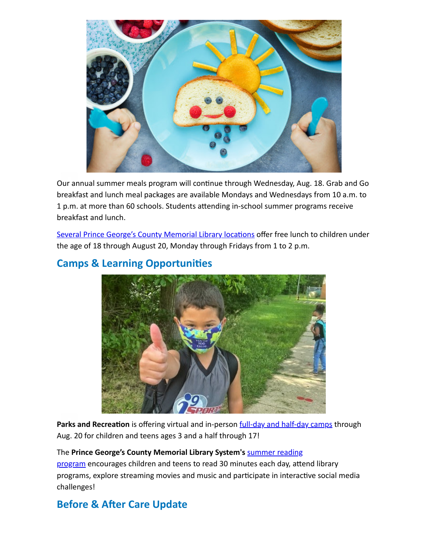

Our annual summer meals program will continue through Wednesday, Aug. 18. Grab and Go breakfast and lunch meal packages are available Mondays and Wednesdays from 10 a.m. to 1 p.m. at more than 60 schools. Students attending in-school summer programs receive breakfast and lunch.

[Several Prince George's County Memorial Library locations](https://lnks.gd/l/eyJhbGciOiJIUzI1NiJ9.eyJidWxsZXRpbl9saW5rX2lkIjoxMDQsInVyaSI6ImJwMjpjbGljayIsImJ1bGxldGluX2lkIjoiMjAyMTA3MjguNDM4MjA1MzEiLCJ1cmwiOiJodHRwczovL3d3MS5wZ2NtbHMuaW5mby9ldmVudHMifQ.cWofkxpSIQ-erUvegMW8CyP_4LGk3fYfCAG7iZ5USWA/s/68721661/br/110047485511-l) offer free lunch to children under the age of 18 through August 20, Monday through Fridays from 1 to 2 p.m.



#### **Camps & Learning Opportunities**

Parks and Recreation is offering virtual and in-person **[full-day and half-day camps](https://lnks.gd/l/eyJhbGciOiJIUzI1NiJ9.eyJidWxsZXRpbl9saW5rX2lkIjoxMDUsInVyaSI6ImJwMjpjbGljayIsImJ1bGxldGluX2lkIjoiMjAyMTA3MjguNDM4MjA1MzEiLCJ1cmwiOiJodHRwOi8vcGdwYXJrcy5jb20vNjI5L0RheS1DYW1wcy1TdW1tZXItUGxheWdyb3VuZHMifQ.uCINvwkE4YnbuBL8k3NGZecYMF9anVcbaYhdWS94rew/s/68721661/br/110047485511-l)** through Aug. 20 for children and teens ages 3 and a half through 17!

#### The Prince George's County Memorial Library System's summer reading

program [encourages children and teens to read 30 minutes each day, atte](https://lnks.gd/l/eyJhbGciOiJIUzI1NiJ9.eyJidWxsZXRpbl9saW5rX2lkIjoxMDYsInVyaSI6ImJwMjpjbGljayIsImJ1bGxldGluX2lkIjoiMjAyMTA3MjguNDM4MjA1MzEiLCJ1cmwiOiJodHRwczovL3d3dy5wZ2NtbHMuaW5mby9zdW1tZXJhdHlvdXJsaWJyYXJ5In0.e96bNZ1KblMSY0uBUY2f5COQ4Pt-dvNd_mMYSeo6Ix4/s/68721661/br/110047485511-l)nd library programs, explore streaming movies and music and participate in interactive social media challenges!

#### **Before & After Care Update**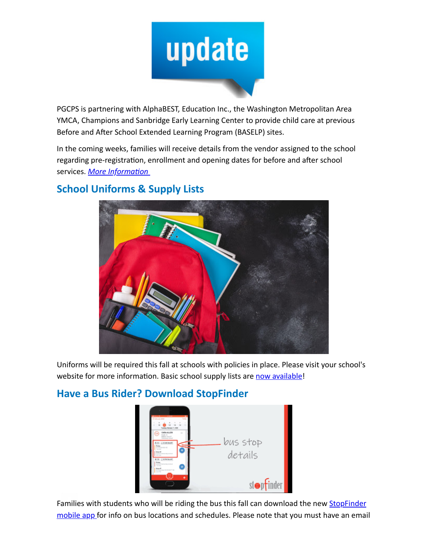

PGCPS is partnering with AlphaBEST, Education Inc., the Washington Metropolitan Area YMCA, Champions and Sanbridge Early Learning Center to provide child care at previous Before and After School Extended Learning Program (BASELP) sites.

In the coming weeks, families will receive details from the vendor assigned to the school regarding pre-registration, enrollment and opening dates for before and after school services. *[More Information](https://lnks.gd/l/eyJhbGciOiJIUzI1NiJ9.eyJidWxsZXRpbl9saW5rX2lkIjoxMDcsInVyaSI6ImJwMjpjbGljayIsImJ1bGxldGluX2lkIjoiMjAyMTA3MjguNDM4MjA1MzEiLCJ1cmwiOiJodHRwczovL3d3dy5wZ2Nwcy5vcmcvb2ZmaWNlcy9lYXJseS1sZWFybmluZy1wcm9ncmFtcy92ZW5kb3ItbWFuYWdlZC1jaGlsZC1jYXJlLXByb2dyYW1zIn0.weTss3Lk8_SttIqsaAFIHF8sFqEetyr1HhaQDWhfgz4/s/68721661/br/110047485511-l)*



#### **School Uniforms & Supply Lists**

Uniforms will be required this fall at schools with policies in place. Please visit your school's website for more information. Basic school supply lists are [now available](https://lnks.gd/l/eyJhbGciOiJIUzI1NiJ9.eyJidWxsZXRpbl9saW5rX2lkIjoxMDgsInVyaSI6ImJwMjpjbGljayIsImJ1bGxldGluX2lkIjoiMjAyMTA3MjguNDM4MjA1MzEiLCJ1cmwiOiJodHRwczovL3d3dy5wZ2Nwcy5vcmcvYWJvdXQtcGdjcHMvYmFjay10by1zY2hvb2wvYmFzaWMtc2Nob29sLXN1cHBsaWVzLWxpc3QifQ.3Qs4u42HfGk6nrIncRmQ8QXPX_hlAVfQVVR5N8iss0g/s/68721661/br/110047485511-l)!

#### **Have a Bus Rider? Download StopFinder**



[Families with students who will be riding the bus this fall can download the new](https://lnks.gd/l/eyJhbGciOiJIUzI1NiJ9.eyJidWxsZXRpbl9saW5rX2lkIjoxMDksInVyaSI6ImJwMjpjbGljayIsImJ1bGxldGluX2lkIjoiMjAyMTA3MjguNDM4MjA1MzEiLCJ1cmwiOiJodHRwczovL3N0b3BmaW5kZXIuY29tL3BhcmVudHMvIn0.gbRZ1IlzcDQldXsvZYsdxqBBG5laQs99xTzVy8nyBzA/s/68721661/br/110047485511-l) **StopFinder** mobile app for info on bus locations and schedules. Please note that you must have an email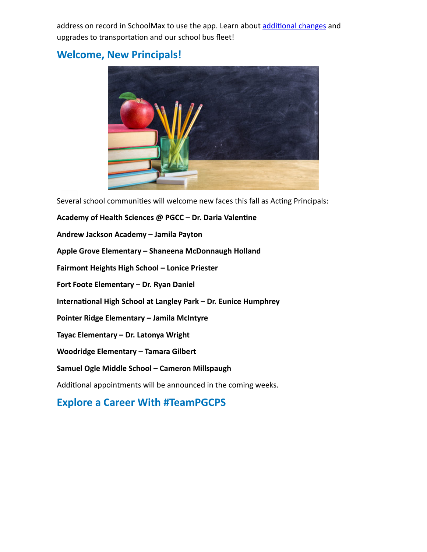address on record in SchoolMax to use the app. Learn about [additional changes](https://lnks.gd/l/eyJhbGciOiJIUzI1NiJ9.eyJidWxsZXRpbl9saW5rX2lkIjoxMTAsInVyaSI6ImJwMjpjbGljayIsImJ1bGxldGluX2lkIjoiMjAyMTA3MjguNDM4MjA1MzEiLCJ1cmwiOiJodHRwczovL3d3dy55b3V0dWJlLmNvbS93YXRjaD92PUFBbW9RZ210U044In0.fNiiPokgrD0_SDZ-1kAGAc09rwDJhqylTOxwF-SjPuA/s/68721661/br/110047485511-l) and upgrades to transportation and our school bus fleet!

#### **Welcome, New Principals!**



Several school communities will welcome new faces this fall as Acting Principals:

**Academy of Health Sciences @ PGCC – Dr. Daria Valentine Andrew Jackson Academy – Jamila Payton Apple Grove Elementary – Shaneena McDonnaugh Holland Fairmont Heights High School – Lonice Priester Fort Foote Elementary – Dr. Ryan Daniel International High School at Langley Park – Dr. Eunice Humphrey Pointer Ridge Elementary – Jamila McIntyre Tayac Elementary – Dr. Latonya Wright**

**Woodridge Elementary – Tamara Gilbert**

#### **Samuel Ogle Middle School – Cameron Millspaugh**

Additional appointments will be announced in the coming weeks.

#### **Explore a Career With #TeamPGCPS**